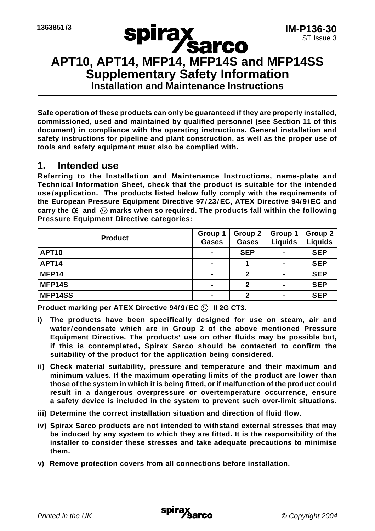# **APT10, APT14, MFP14, MFP14S and MFP14SS**<br>APT10, APT14, MFP14, MFP14S and MFP14SS **Supplementary Safety Information Installation and Maintenance Instructions**

**Safe operation of these products can only be guaranteed if they are properly installed, commissioned, used and maintained by qualified personnel (see Section 11 of this document) in compliance with the operating instructions. General installation and safety instructions for pipeline and plant construction, as well as the proper use of tools and safety equipment must also be complied with.**

#### **1. Intended use**

**Referring to the Installation and Maintenance Instructions, name-plate and Technical Information Sheet, check that the product is suitable for the intended use/application. The products listed below fully comply with the requirements of the European Pressure Equipment Directive 97/23/EC, ATEX Directive 94/9/EC and** carry the  $\mathsf{C}\epsilon$  and  $\langle \bar{\mathbb{G}} \rangle$  marks when so required. The products fall within the following **Pressure Equipment Directive categories:**

| <b>Product</b> | Group 1<br>Gases         | Group 2<br>Gases | Group 1<br>Liquids | Group 2<br>Liquids |
|----------------|--------------------------|------------------|--------------------|--------------------|
| <b>APT10</b>   | -                        | <b>SEP</b>       |                    | <b>SEP</b>         |
| APT14          | $\overline{\phantom{a}}$ |                  | -                  | <b>SEP</b>         |
| MFP14          | $\overline{\phantom{0}}$ | 2                | -                  | <b>SEP</b>         |
| <b>MFP14S</b>  | $\overline{\phantom{0}}$ |                  | -                  | <b>SEP</b>         |
| <b>MFP14SS</b> |                          |                  |                    | <b>SEP</b>         |

**Product marking per ATEX Directive 94/9/EC**  $\textcircled{\tiny{R}}$  **II 2G CT3.** 

- **i) The products have been specifically designed for use on steam, air and water/ condensate which are in Group 2 of the above mentioned Pressure Equipment Directive. The products' use on other fluids may be possible but, if this is contemplated, Spirax Sarco should be contacted to confirm the suitability of the product for the application being considered.**
- **ii) Check material suitability, pressure and temperature and their maximum and minimum values. If the maximum operating limits of the product are lower than those of the system in which it is being fitted, or if malfunction of the product could result in a dangerous overpressure or overtemperature occurrence, ensure a safety device is included in the system to prevent such over-limit situations.**
- **iii) Determine the correct installation situation and direction of fluid flow.**
- **iv) Spirax Sarco products are not intended to withstand external stresses that may be induced by any system to which they are fitted. It is the responsibility of the installer to consider these stresses and take adequate precautions to minimise them.**
- **v) Remove protection covers from all connections before installation.**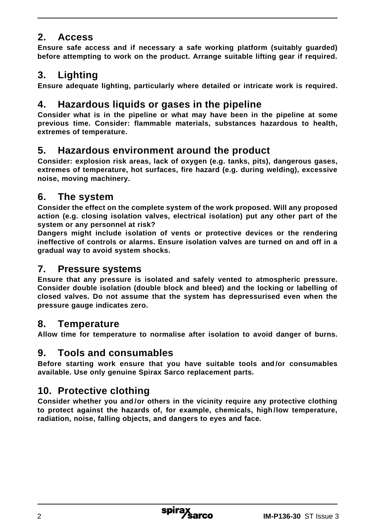## **2. Access**

**Ensure safe access and if necessary a safe working platform (suitably guarded) before attempting to work on the product. Arrange suitable lifting gear if required.**

# **3. Lighting**

**Ensure adequate lighting, particularly where detailed or intricate work is required.**

# **4. Hazardous liquids or gases in the pipeline**

**Consider what is in the pipeline or what may have been in the pipeline at some previous time. Consider: flammable materials, substances hazardous to health, extremes of temperature.**

## **5. Hazardous environment around the product**

**Consider: explosion risk areas, lack of oxygen (e.g. tanks, pits), dangerous gases, extremes of temperature, hot surfaces, fire hazard (e.g. during welding), excessive noise, moving machinery.**

## **6. The system**

**Consider the effect on the complete system of the work proposed. Will any proposed action (e.g. closing isolation valves, electrical isolation) put any other part of the system or any personnel at risk?**

**Dangers might include isolation of vents or protective devices or the rendering ineffective of controls or alarms. Ensure isolation valves are turned on and off in a gradual way to avoid system shocks.**

#### **7. Pressure systems**

**Ensure that any pressure is isolated and safely vented to atmospheric pressure. Consider double isolation (double block and bleed) and the locking or labelling of closed valves. Do not assume that the system has depressurised even when the pressure gauge indicates zero.**

## **8. Temperature**

**Allow time for temperature to normalise after isolation to avoid danger of burns.**

## **9. Tools and consumables**

**Before starting work ensure that you have suitable tools and /or consumables available. Use only genuine Spirax Sarco replacement parts.**

# **10. Protective clothing**

**Consider whether you and /or others in the vicinity require any protective clothing to protect against the hazards of, for example, chemicals, high /low temperature, radiation, noise, falling objects, and dangers to eyes and face.**